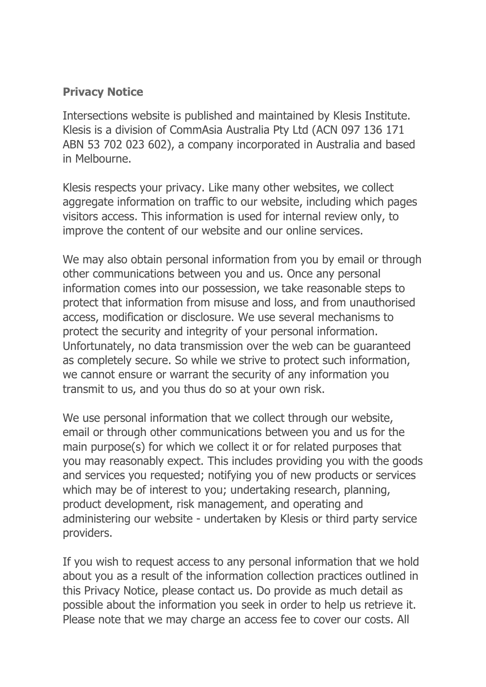## **Privacy Notice**

Intersections website is published and maintained by Klesis Institute. Klesis is a division of CommAsia Australia Pty Ltd (ACN 097 136 171 ABN 53 702 023 602), a company incorporated in Australia and based in Melbourne.

Klesis respects your privacy. Like many other websites, we collect aggregate information on traffic to our website, including which pages visitors access. This information is used for internal review only, to improve the content of our website and our online services.

We may also obtain personal information from you by email or through other communications between you and us. Once any personal information comes into our possession, we take reasonable steps to protect that information from misuse and loss, and from unauthorised access, modification or disclosure. We use several mechanisms to protect the security and integrity of your personal information. Unfortunately, no data transmission over the web can be guaranteed as completely secure. So while we strive to protect such information, we cannot ensure or warrant the security of any information you transmit to us, and you thus do so at your own risk.

We use personal information that we collect through our website, email or through other communications between you and us for the main purpose(s) for which we collect it or for related purposes that you may reasonably expect. This includes providing you with the goods and services you requested; notifying you of new products or services which may be of interest to you; undertaking research, planning, product development, risk management, and operating and administering our website - undertaken by Klesis or third party service providers.

If you wish to request access to any personal information that we hold about you as a result of the information collection practices outlined in this Privacy Notice, please contact us. Do provide as much detail as possible about the information you seek in order to help us retrieve it. Please note that we may charge an access fee to cover our costs. All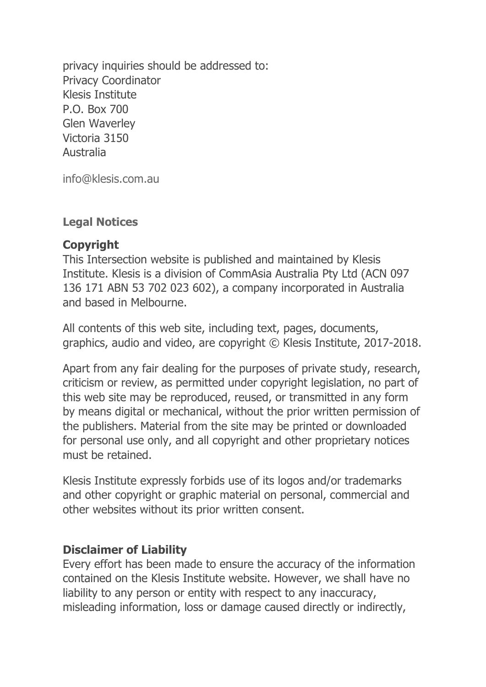privacy inquiries should be addressed to: Privacy Coordinator Klesis Institute P.O. Box 700 Glen Waverley Victoria 3150 Australia

[info@klesis.com.au](mailto:info@klesisinstitute.com)

#### **Legal Notices**

#### **Copyright**

This Intersection website is published and maintained by Klesis Institute. Klesis is a division of CommAsia Australia Pty Ltd (ACN 097 136 171 ABN 53 702 023 602), a company incorporated in Australia and based in Melbourne.

All contents of this web site, including text, pages, documents, graphics, audio and video, are copyright © Klesis Institute, 2017-2018.

Apart from any fair dealing for the purposes of private study, research, criticism or review, as permitted under copyright legislation, no part of this web site may be reproduced, reused, or transmitted in any form by means digital or mechanical, without the prior written permission of the publishers. Material from the site may be printed or downloaded for personal use only, and all copyright and other proprietary notices must be retained.

Klesis Institute expressly forbids use of its logos and/or trademarks and other copyright or graphic material on personal, commercial and other websites without its prior written consent.

#### **Disclaimer of Liability**

Every effort has been made to ensure the accuracy of the information contained on the Klesis Institute website. However, we shall have no liability to any person or entity with respect to any inaccuracy, misleading information, loss or damage caused directly or indirectly,